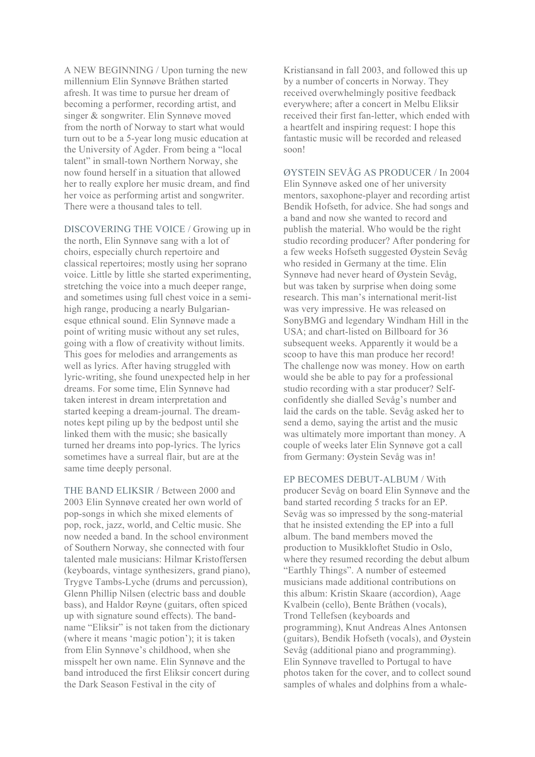A NEW BEGINNING / Upon turning the new millennium Elin Synnøve Bråthen started afresh. It was time to pursue her dream of becoming a performer, recording artist, and singer & songwriter. Elin Synnøve moved from the north of Norway to start what would turn out to be a 5-year long music education at the University of Agder. From being a "local talent" in small-town Northern Norway, she now found herself in a situation that allowed her to really explore her music dream, and find her voice as performing artist and songwriter. There were a thousand tales to tell.

DISCOVERING THE VOICE / Growing up in the north, Elin Synnøve sang with a lot of choirs, especially church repertoire and classical repertoires; mostly using her soprano voice. Little by little she started experimenting, stretching the voice into a much deeper range, and sometimes using full chest voice in a semihigh range, producing a nearly Bulgarianesque ethnical sound. Elin Synnøve made a point of writing music without any set rules, going with a flow of creativity without limits. This goes for melodies and arrangements as well as lyrics. After having struggled with lyric-writing, she found unexpected help in her dreams. For some time, Elin Synnøve had taken interest in dream interpretation and started keeping a dream-journal. The dreamnotes kept piling up by the bedpost until she linked them with the music; she basically turned her dreams into pop-lyrics. The lyrics sometimes have a surreal flair, but are at the same time deeply personal.

THE BAND ELIKSIR / Between 2000 and 2003 Elin Synnøve created her own world of pop-songs in which she mixed elements of pop, rock, jazz, world, and Celtic music. She now needed a band. In the school environment of Southern Norway, she connected with four talented male musicians: Hilmar Kristoffersen (keyboards, vintage synthesizers, grand piano), Trygve Tambs-Lyche (drums and percussion), Glenn Phillip Nilsen (electric bass and double bass), and Haldor Røyne (guitars, often spiced up with signature sound effects). The bandname "Eliksir" is not taken from the dictionary (where it means 'magic potion'); it is taken from Elin Synnøve's childhood, when she misspelt her own name. Elin Synnøve and the band introduced the first Eliksir concert during the Dark Season Festival in the city of

Kristiansand in fall 2003, and followed this up by a number of concerts in Norway. They received overwhelmingly positive feedback everywhere; after a concert in Melbu Eliksir received their first fan-letter, which ended with a heartfelt and inspiring request: I hope this fantastic music will be recorded and released soon!

ØYSTEIN SEVÅG AS PRODUCER / In 2004 Elin Synnøve asked one of her university mentors, saxophone-player and recording artist Bendik Hofseth, for advice. She had songs and a band and now she wanted to record and publish the material. Who would be the right studio recording producer? After pondering for a few weeks Hofseth suggested Øystein Sevåg who resided in Germany at the time. Elin Synnøve had never heard of Øystein Sevåg, but was taken by surprise when doing some research. This man's international merit-list was very impressive. He was released on SonyBMG and legendary Windham Hill in the USA; and chart-listed on Billboard for 36 subsequent weeks. Apparently it would be a scoop to have this man produce her record! The challenge now was money. How on earth would she be able to pay for a professional studio recording with a star producer? Selfconfidently she dialled Sevåg's number and laid the cards on the table. Sevåg asked her to send a demo, saying the artist and the music was ultimately more important than money. A couple of weeks later Elin Synnøve got a call from Germany: Øystein Sevåg was in!

EP BECOMES DEBUT-ALBUM / With producer Sevåg on board Elin Synnøve and the band started recording 5 tracks for an EP. Sevåg was so impressed by the song-material that he insisted extending the EP into a full album. The band members moved the production to Musikkloftet Studio in Oslo, where they resumed recording the debut album "Earthly Things". A number of esteemed musicians made additional contributions on this album: Kristin Skaare (accordion), Aage Kvalbein (cello), Bente Bråthen (vocals), Trond Tellefsen (keyboards and programming), Knut Andreas Alnes Antonsen (guitars), Bendik Hofseth (vocals), and Øystein Sevåg (additional piano and programming). Elin Synnøve travelled to Portugal to have photos taken for the cover, and to collect sound samples of whales and dolphins from a whale-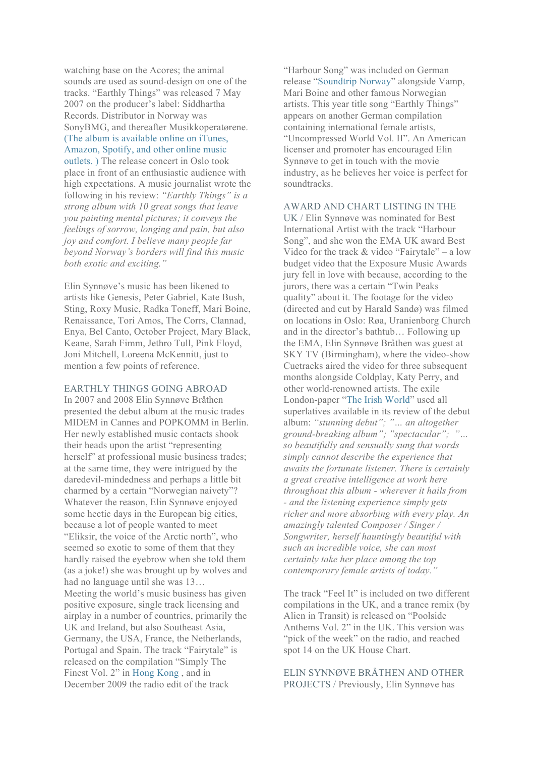watching base on the Acores; the animal sounds are used as sound-design on one of the tracks. "Earthly Things" was released 7 May 2007 on the producer's label: Siddhartha Records. Distributor in Norway was SonyBMG, and thereafter Musikkoperatørene. (The album is available online on iTunes, Amazon, Spotify, and other online music outlets. ) The release concert in Oslo took place in front of an enthusiastic audience with high expectations. A music journalist wrote the following in his review: *"Earthly Things" is a strong album with 10 great songs that leave you painting mental pictures; it conveys the feelings of sorrow, longing and pain, but also joy and comfort. I believe many people far beyond Norway's borders will find this music both exotic and exciting."*

Elin Synnøve's music has been likened to artists like Genesis, Peter Gabriel, Kate Bush, Sting, Roxy Music, Radka Toneff, Mari Boine, Renaissance, Tori Amos, The Corrs, Clannad, Enya, Bel Canto, October Project, Mary Black, Keane, Sarah Fimm, Jethro Tull, Pink Floyd, Joni Mitchell, Loreena McKennitt, just to mention a few points of reference.

EARTHLY THINGS GOING ABROAD In 2007 and 2008 Elin Synnøve Bråthen presented the debut album at the music trades MIDEM in Cannes and POPKOMM in Berlin. Her newly established music contacts shook their heads upon the artist "representing herself" at professional music business trades; at the same time, they were intrigued by the daredevil-mindedness and perhaps a little bit charmed by a certain "Norwegian naivety"? Whatever the reason, Elin Synnøve enjoyed some hectic days in the European big cities, because a lot of people wanted to meet "Eliksir, the voice of the Arctic north", who seemed so exotic to some of them that they hardly raised the eyebrow when she told them (as a joke!) she was brought up by wolves and had no language until she was 13… Meeting the world's music business has given positive exposure, single track licensing and airplay in a number of countries, primarily the UK and Ireland, but also Southeast Asia, Germany, the USA, France, the Netherlands, Portugal and Spain. The track "Fairytale" is released on the compilation "Simply The Finest Vol. 2" in Hong Kong , and in December 2009 the radio edit of the track

"Harbour Song" was included on German release "Soundtrip Norway" alongside Vamp, Mari Boine and other famous Norwegian artists. This year title song "Earthly Things" appears on another German compilation containing international female artists, "Uncompressed World Vol. II". An American licenser and promoter has encouraged Elin Synnøve to get in touch with the movie industry, as he believes her voice is perfect for soundtracks.

AWARD AND CHART LISTING IN THE UK / Elin Synnøve was nominated for Best International Artist with the track "Harbour Song", and she won the EMA UK award Best Video for the track & video "Fairytale" – a low budget video that the Exposure Music Awards jury fell in love with because, according to the jurors, there was a certain "Twin Peaks quality" about it. The footage for the video (directed and cut by Harald Sandø) was filmed on locations in Oslo: Røa, Uranienborg Church and in the director's bathtub… Following up the EMA, Elin Synnøve Bråthen was guest at SKY TV (Birmingham), where the video-show Cuetracks aired the video for three subsequent months alongside Coldplay, Katy Perry, and other world-renowned artists. The exile London-paper "The Irish World" used all superlatives available in its review of the debut album: *"stunning debut"; "… an altogether ground-breaking album"; "spectacular"; "… so beautifully and sensually sung that words simply cannot describe the experience that awaits the fortunate listener. There is certainly a great creative intelligence at work here throughout this album - wherever it hails from - and the listening experience simply gets richer and more absorbing with every play. An amazingly talented Composer / Singer / Songwriter, herself hauntingly beautiful with such an incredible voice, she can most certainly take her place among the top contemporary female artists of today."*

The track "Feel It" is included on two different compilations in the UK, and a trance remix (by Alien in Transit) is released on "Poolside Anthems Vol. 2" in the UK. This version was "pick of the week" on the radio, and reached spot 14 on the UK House Chart.

ELIN SYNNØVE BRÅTHEN AND OTHER PROJECTS / Previously, Elin Synnøve has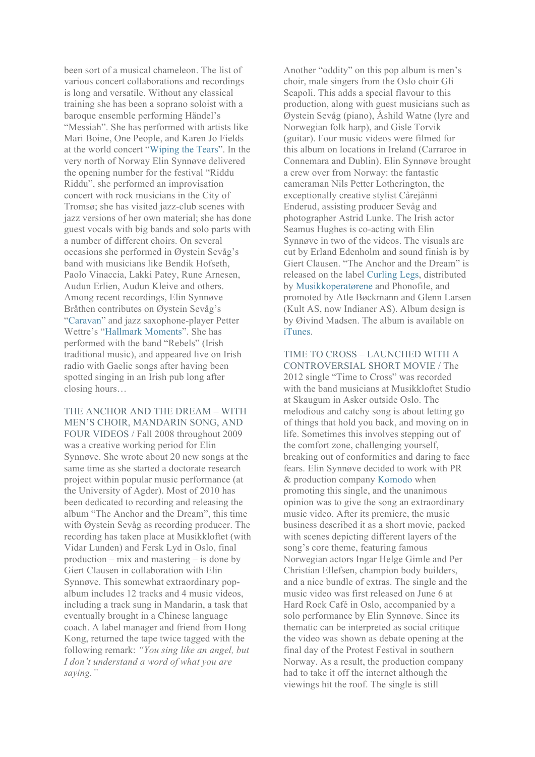been sort of a musical chameleon. The list of various concert collaborations and recordings is long and versatile. Without any classical training she has been a soprano soloist with a baroque ensemble performing Händel's "Messiah". She has performed with artists like Mari Boine, One People, and Karen Jo Fields at the world concert "Wiping the Tears". In the very north of Norway Elin Synnøve delivered the opening number for the festival "Riddu Riddu", she performed an improvisation concert with rock musicians in the City of Tromsø; she has visited jazz-club scenes with jazz versions of her own material; she has done guest vocals with big bands and solo parts with a number of different choirs. On several occasions she performed in Øystein Sevåg's band with musicians like Bendik Hofseth, Paolo Vinaccia, Lakki Patey, Rune Arnesen, Audun Erlien, Audun Kleive and others. Among recent recordings, Elin Synnøve Bråthen contributes on Øystein Sevåg's "Caravan" and jazz saxophone-player Petter Wettre's "Hallmark Moments". She has performed with the band "Rebels" (Irish traditional music), and appeared live on Irish radio with Gaelic songs after having been spotted singing in an Irish pub long after closing hours…

THE ANCHOR AND THE DREAM – WITH MEN'S CHOIR, MANDARIN SONG, AND FOUR VIDEOS / Fall 2008 throughout 2009 was a creative working period for Elin Synnøve. She wrote about 20 new songs at the same time as she started a doctorate research project within popular music performance (at the University of Agder). Most of 2010 has been dedicated to recording and releasing the album "The Anchor and the Dream", this time with Øystein Sevåg as recording producer. The recording has taken place at Musikkloftet (with Vidar Lunden) and Fersk Lyd in Oslo, final production – mix and mastering – is done by Giert Clausen in collaboration with Elin Synnøve. This somewhat extraordinary popalbum includes 12 tracks and 4 music videos, including a track sung in Mandarin, a task that eventually brought in a Chinese language coach. A label manager and friend from Hong Kong, returned the tape twice tagged with the following remark: *"You sing like an angel, but I don't understand a word of what you are saying."*

Another "oddity" on this pop album is men's choir, male singers from the Oslo choir Gli Scapoli. This adds a special flavour to this production, along with guest musicians such as Øystein Sevåg (piano), Åshild Watne (lyre and Norwegian folk harp), and Gisle Torvik (guitar). Four music videos were filmed for this album on locations in Ireland (Carraroe in Connemara and Dublin). Elin Synnøve brought a crew over from Norway: the fantastic cameraman Nils Petter Lotherington, the exceptionally creative stylist Cårejånni Enderud, assisting producer Sevåg and photographer Astrid Lunke. The Irish actor Seamus Hughes is co-acting with Elin Synnøve in two of the videos. The visuals are cut by Erland Edenholm and sound finish is by Giert Clausen. "The Anchor and the Dream" is released on the label Curling Legs, distributed by Musikkoperatørene and Phonofile, and promoted by Atle Bøckmann and Glenn Larsen (Kult AS, now Indianer AS). Album design is by Øivind Madsen. The album is available on iTunes.

TIME TO CROSS – LAUNCHED WITH A CONTROVERSIAL SHORT MOVIE / The 2012 single "Time to Cross" was recorded with the band musicians at Musikkloftet Studio at Skaugum in Asker outside Oslo. The melodious and catchy song is about letting go of things that hold you back, and moving on in life. Sometimes this involves stepping out of the comfort zone, challenging yourself, breaking out of conformities and daring to face fears. Elin Synnøve decided to work with PR & production company Komodo when promoting this single, and the unanimous opinion was to give the song an extraordinary music video. After its premiere, the music business described it as a short movie, packed with scenes depicting different layers of the song's core theme, featuring famous Norwegian actors Ingar Helge Gimle and Per Christian Ellefsen, champion body builders, and a nice bundle of extras. The single and the music video was first released on June 6 at Hard Rock Café in Oslo, accompanied by a solo performance by Elin Synnøve. Since its thematic can be interpreted as social critique the video was shown as debate opening at the final day of the Protest Festival in southern Norway. As a result, the production company had to take it off the internet although the viewings hit the roof. The single is still